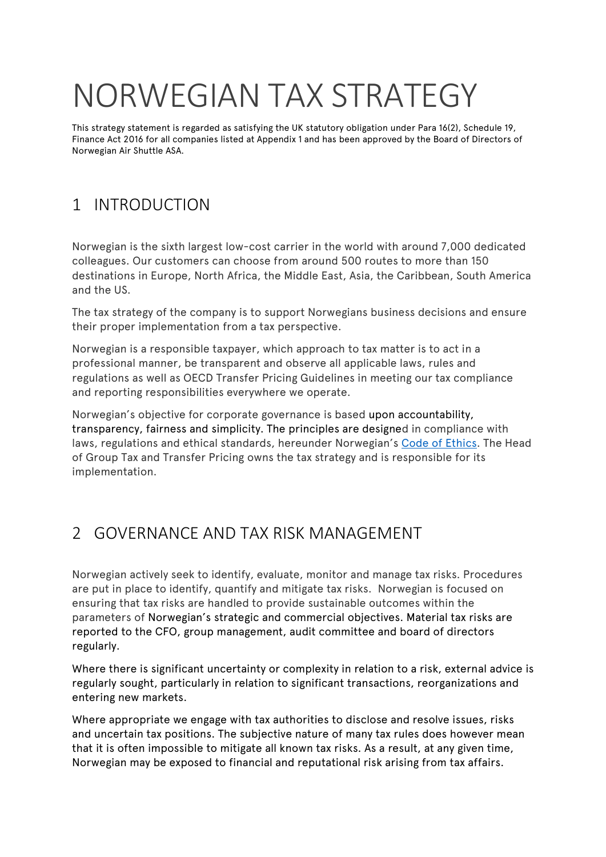# NORWEGIAN TAX STRATEGY

This strategy statement is regarded as satisfying the UK statutory obligation under Para 16(2), Schedule 19, Finance Act 2016 for all companies listed at Appendix 1 and has been approved by the Board of Directors of Norwegian Air Shuttle ASA.

# 1 INTRODUCTION

Norwegian is the sixth largest low-cost carrier in the world with around 7,000 dedicated colleagues. Our customers can choose from around 500 routes to more than 150 destinations in Europe, North Africa, the Middle East, Asia, the Caribbean, South America and the US.

The tax strategy of the company is to support Norwegians business decisions and ensure their proper implementation from a tax perspective.

Norwegian is a responsible taxpayer, which approach to tax matter is to act in a professional manner, be transparent and observe all applicable laws, rules and regulations as well as OECD Transfer Pricing Guidelines in meeting our tax compliance and reporting responsibilities everywhere we operate.

Norwegian's objective for corporate governance is based upon accountability, transparency, fairness and simplicity. The principles are designed in compliance with laws, regulations and ethical standards, hereunder Norwegian's [Code of Ethics.](https://www.norwegian.com/uk/about/company/investor-relations/corporate-governance/principles/) The Head of Group Tax and Transfer Pricing owns the tax strategy and is responsible for its implementation.

## 2 GOVERNANCE AND TAX RISK MANAGEMENT

Norwegian actively seek to identify, evaluate, monitor and manage tax risks. Procedures are put in place to identify, quantify and mitigate tax risks. Norwegian is focused on ensuring that tax risks are handled to provide sustainable outcomes within the parameters of Norwegian's strategic and commercial objectives. Material tax risks are reported to the CFO, group management, audit committee and board of directors regularly.

Where there is significant uncertainty or complexity in relation to a risk, external advice is regularly sought, particularly in relation to significant transactions, reorganizations and entering new markets.

Where appropriate we engage with tax authorities to disclose and resolve issues, risks and uncertain tax positions. The subjective nature of many tax rules does however mean that it is often impossible to mitigate all known tax risks. As a result, at any given time, Norwegian may be exposed to financial and reputational risk arising from tax affairs.